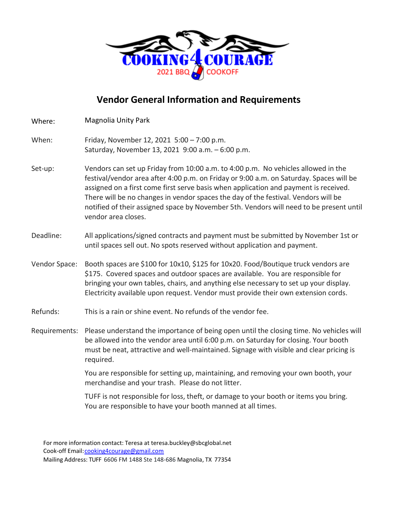

## **Vendor General Information and Requirements**

| Where:        | <b>Magnolia Unity Park</b>                                                                                                                                                                                                                                                                                                                                                                                                                                                   |
|---------------|------------------------------------------------------------------------------------------------------------------------------------------------------------------------------------------------------------------------------------------------------------------------------------------------------------------------------------------------------------------------------------------------------------------------------------------------------------------------------|
| When:         | Friday, November 12, 2021 5:00 - 7:00 p.m.<br>Saturday, November 13, 2021 9:00 a.m. - 6:00 p.m.                                                                                                                                                                                                                                                                                                                                                                              |
| Set-up:       | Vendors can set up Friday from 10:00 a.m. to 4:00 p.m. No vehicles allowed in the<br>festival/vendor area after 4:00 p.m. on Friday or 9:00 a.m. on Saturday. Spaces will be<br>assigned on a first come first serve basis when application and payment is received.<br>There will be no changes in vendor spaces the day of the festival. Vendors will be<br>notified of their assigned space by November 5th. Vendors will need to be present until<br>vendor area closes. |
| Deadline:     | All applications/signed contracts and payment must be submitted by November 1st or<br>until spaces sell out. No spots reserved without application and payment.                                                                                                                                                                                                                                                                                                              |
| Vendor Space: | Booth spaces are \$100 for 10x10, \$125 for 10x20. Food/Boutique truck vendors are<br>\$175. Covered spaces and outdoor spaces are available. You are responsible for<br>bringing your own tables, chairs, and anything else necessary to set up your display.<br>Electricity available upon request. Vendor must provide their own extension cords.                                                                                                                         |
| Refunds:      | This is a rain or shine event. No refunds of the vendor fee.                                                                                                                                                                                                                                                                                                                                                                                                                 |
|               | Requirements: Please understand the importance of being open until the closing time. No vehicles will<br>be allowed into the vendor area until 6:00 p.m. on Saturday for closing. Your booth<br>must be neat, attractive and well-maintained. Signage with visible and clear pricing is<br>required.                                                                                                                                                                         |
|               | You are responsible for setting up, maintaining, and removing your own booth, your<br>merchandise and your trash. Please do not litter.                                                                                                                                                                                                                                                                                                                                      |
|               | TUFF is not responsible for loss, theft, or damage to your booth or items you bring.<br>You are responsible to have your booth manned at all times.                                                                                                                                                                                                                                                                                                                          |